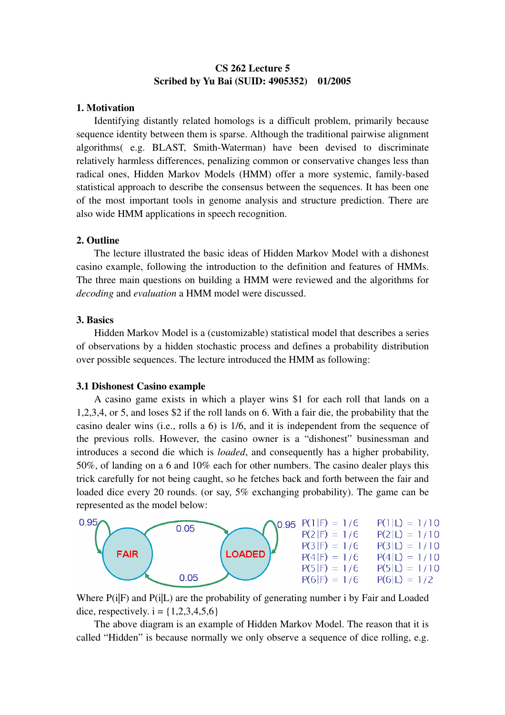# **CS 262 Lecture 5 Scribed by Yu Bai (SUID: 4905352) 01/2005**

## **1. Motivation**

 Identifying distantly related homologs is a difficult problem, primarily because sequence identity between them is sparse. Although the traditional pairwise alignment algorithms( e.g. BLAST, Smith-Waterman) have been devised to discriminate relatively harmless differences, penalizing common or conservative changes less than radical ones, Hidden Markov Models (HMM) offer a more systemic, family-based statistical approach to describe the consensus between the sequences. It has been one of the most important tools in genome analysis and structure prediction. There are also wide HMM applications in speech recognition.

#### **2. Outline**

The lecture illustrated the basic ideas of Hidden Markov Model with a dishonest casino example, following the introduction to the definition and features of HMMs. The three main questions on building a HMM were reviewed and the algorithms for *decoding* and *evaluation* a HMM model were discussed.

#### **3. Basics**

Hidden Markov Model is a (customizable) statistical model that describes a series of observations by a hidden stochastic process and defines a probability distribution over possible sequences. The lecture introduced the HMM as following:

#### **3.1 Dishonest Casino example**

A casino game exists in which a player wins \$1 for each roll that lands on a 1,2,3,4, or 5, and loses \$2 if the roll lands on 6. With a fair die, the probability that the casino dealer wins (i.e., rolls a 6) is 1/6, and it is independent from the sequence of the previous rolls. However, the casino owner is a "dishonest" businessman and introduces a second die which is *loaded*, and consequently has a higher probability, 50%, of landing on a 6 and 10% each for other numbers. The casino dealer plays this trick carefully for not being caught, so he fetches back and forth between the fair and loaded dice every 20 rounds. (or say, 5% exchanging probability). The game can be represented as the model below:



Where P(i|F) and P(i|L) are the probability of generating number i by Fair and Loaded dice, respectively.  $i = \{1, 2, 3, 4, 5, 6\}$ 

 The above diagram is an example of Hidden Markov Model. The reason that it is called "Hidden" is because normally we only observe a sequence of dice rolling, e.g.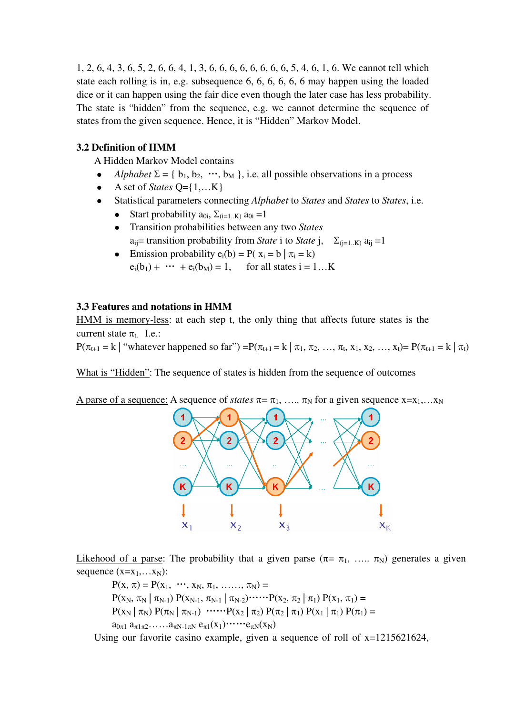1, 2, 6, 4, 3, 6, 5, 2, 6, 6, 4, 1, 3, 6, 6, 6, 6, 6, 6, 6, 6, 5, 4, 6, 1, 6. We cannot tell which state each rolling is in, e.g. subsequence 6, 6, 6, 6, 6, 6 may happen using the loaded dice or it can happen using the fair dice even though the later case has less probability. The state is "hidden" from the sequence, e.g. we cannot determine the sequence of states from the given sequence. Hence, it is "Hidden" Markov Model.

# **3.2 Definition of HMM**

A Hidden Markov Model contains

- *Alphabet*  $\Sigma = \{ b_1, b_2, \dots, b_M \}$ , i.e. all possible observations in a process
- A set of *States*  $Q = \{1,...K\}$
- <sup>z</sup> Statistical parameters connecting *Alphabet* to *States* and *States* to *States*, i.e.
	- Start probability  $a_{0i}$ ,  $\Sigma_{(i=1..K)} a_{0i} = 1$
	- Transition probabilities between any two *States*  $a_{ii}$ = transition probability from *State* i to *State* j,  $\Sigma_{(i=1..K)} a_{ii} = 1$
	- Emission probability  $e_i(b) = P(x_i = b | \pi_i = k)$  $e_i(b_1) + \cdots + e_i(b_M) = 1$ , for all states  $i = 1...K$

# **3.3 Features and notations in HMM**

HMM is memory-less: at each step t, the only thing that affects future states is the current state  $\pi_t$  I.e.:

 $P(\pi_{t+1} = k \mid$  "whatever happened so far") =  $P(\pi_{t+1} = k \mid \pi_1, \pi_2, ..., \pi_t, x_1, x_2, ..., x_t) = P(\pi_{t+1} = k \mid \pi_t)$ 

What is "Hidden": The sequence of states is hidden from the sequence of outcomes

A parse of a sequence: A sequence of *states*  $\pi = \pi_1, \ldots, \pi_N$  for a given sequence  $x = x_1, \ldots, x_N$ 



Likehood of a parse: The probability that a given parse  $(\pi = \pi_1, \ldots, \pi_N)$  generates a given sequence  $(x=x_1,...x_N)$ :

 $P(x, \pi) = P(x_1, \dots, x_N, \pi_1, \dots, \pi_N) =$  $P(x_N, \pi_N | \pi_{N-1}) P(x_{N-1}, \pi_{N-1} | \pi_{N-2}) \cdots P(x_2, \pi_2 | \pi_1) P(x_1, \pi_1) =$  $P(X_N | \pi_N) P(\pi_N | \pi_{N-1}) \cdots P(X_2 | \pi_2) P(\pi_2 | \pi_1) P(X_1 | \pi_1) P(\pi_1) =$  $a_{0\pi1} a_{\pi1\pi2} \ldots a_{\pi N-1\pi N} e_{\pi1}(x_1) \ldots e_{\pi N}(x_N)$ 

Using our favorite casino example, given a sequence of roll of x=1215621624,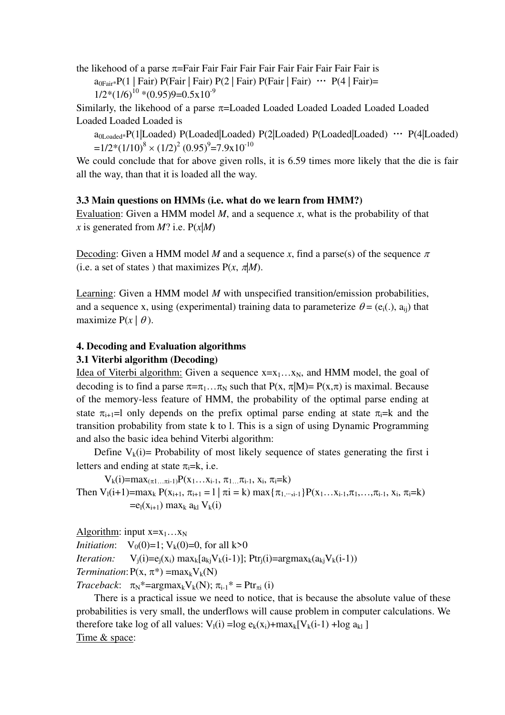the likehood of a parse π=Fair Fair Fair Fair Fair Fair Fair Fair Fair Fair is

 $a_{0}Fair*P(1 \mid Fair) P(Fair \mid Fair) P(2 \mid Fair) P(Fair \mid Fair)$  …  $P(4 \mid Fair) =$  $1/2*(1/6)^{10}*(0.95)9=0.5x10^{-9}$ 

Similarly, the likehood of a parse  $\pi$ =Loaded Loaded Loaded Loaded Loaded Loaded Loaded Loaded Loaded Loaded is

a0Loaded\*P(1|Loaded) P(Loaded|Loaded) P(2|Loaded) P(Loaded|Loaded) … P(4|Loaded)  $=1/2*(1/10)^{8} \times (1/2)^{2} (0.95)^{9} = 7.9 \times 10^{-10}$ 

We could conclude that for above given rolls, it is 6.59 times more likely that the die is fair all the way, than that it is loaded all the way.

# **3.3 Main questions on HMMs (i.e. what do we learn from HMM?)**

Evaluation: Given a HMM model  $M$ , and a sequence  $x$ , what is the probability of that *x* is generated from *M*? i.e.  $P(x|M)$ 

Decoding: Given a HMM model *M* and a sequence *x*, find a parse(s) of the sequence  $\pi$ (i.e. a set of states) that maximizes  $P(x, \pi M)$ .

Learning: Given a HMM model *M* with unspecified transition/emission probabilities, and a sequence x, using (experimental) training data to parameterize  $\theta = (e_i(.)$ ,  $a_{ii})$  that maximize  $P(x | \theta)$ .

# **4. Decoding and Evaluation algorithms**

# **3.1 Viterbi algorithm (Decoding)**

Idea of Viterbi algorithm: Given a sequence  $x=x_1...x_N$ , and HMM model, the goal of decoding is to find a parse  $\pi = \pi_1 \dots \pi_N$  such that  $P(x, \pi | M) = P(x, \pi)$  is maximal. Because of the memory-less feature of HMM, the probability of the optimal parse ending at state  $\pi_{i+1}=$ l only depends on the prefix optimal parse ending at state  $\pi_i=$ k and the transition probability from state k to l. This is a sign of using Dynamic Programming and also the basic idea behind Viterbi algorithm:

Define  $V_k(i)$ = Probability of most likely sequence of states generating the first i letters and ending at state  $\pi_i = k$ , i.e.

 $V_k(i)=max_{(\pi 1...\pi i-1)}P(x_1...x_{i-1}, \pi_1...\pi_{i-1}, x_i, \pi_i=k)$ Then  $V_1(i+1)=max_k P(x_{i+1}, \pi_{i+1} = 1 | \pi_i = k) max{\pi_1, ..., i-1} P(x_1, \ldots, x_{i-1}, \pi_1, ..., \pi_{i-1}, x_i, \pi_i = k)$  $= e_l(x_{i+1}) \max_k a_{kl} V_k(i)$ 

Algorithm: input  $x=x_1...x_N$ *Initiation*:  $V_0(0)=1$ ;  $V_k(0)=0$ , for all k>0 *Iteration:*  $V_i(i)=e_i(x_i) \max_k[a_{ki}V_k(i-1)]$ ;  $Ptr_i(i)=argmax_k(a_{ki}V_k(i-1))$ *Termination*:  $P(x, \pi^*) = max_k V_k(N)$ *Traceback*:  $\pi_N^* = \argmax_k V_k(N); \pi_{i-1}^* = \Pr_{\pi(i)}(i)$ 

There is a practical issue we need to notice, that is because the absolute value of these probabilities is very small, the underflows will cause problem in computer calculations. We therefore take log of all values:  $V_1(i) = \log e_k(x_i) + \max_k [V_k(i-1) + \log a_k]$ Time & space: